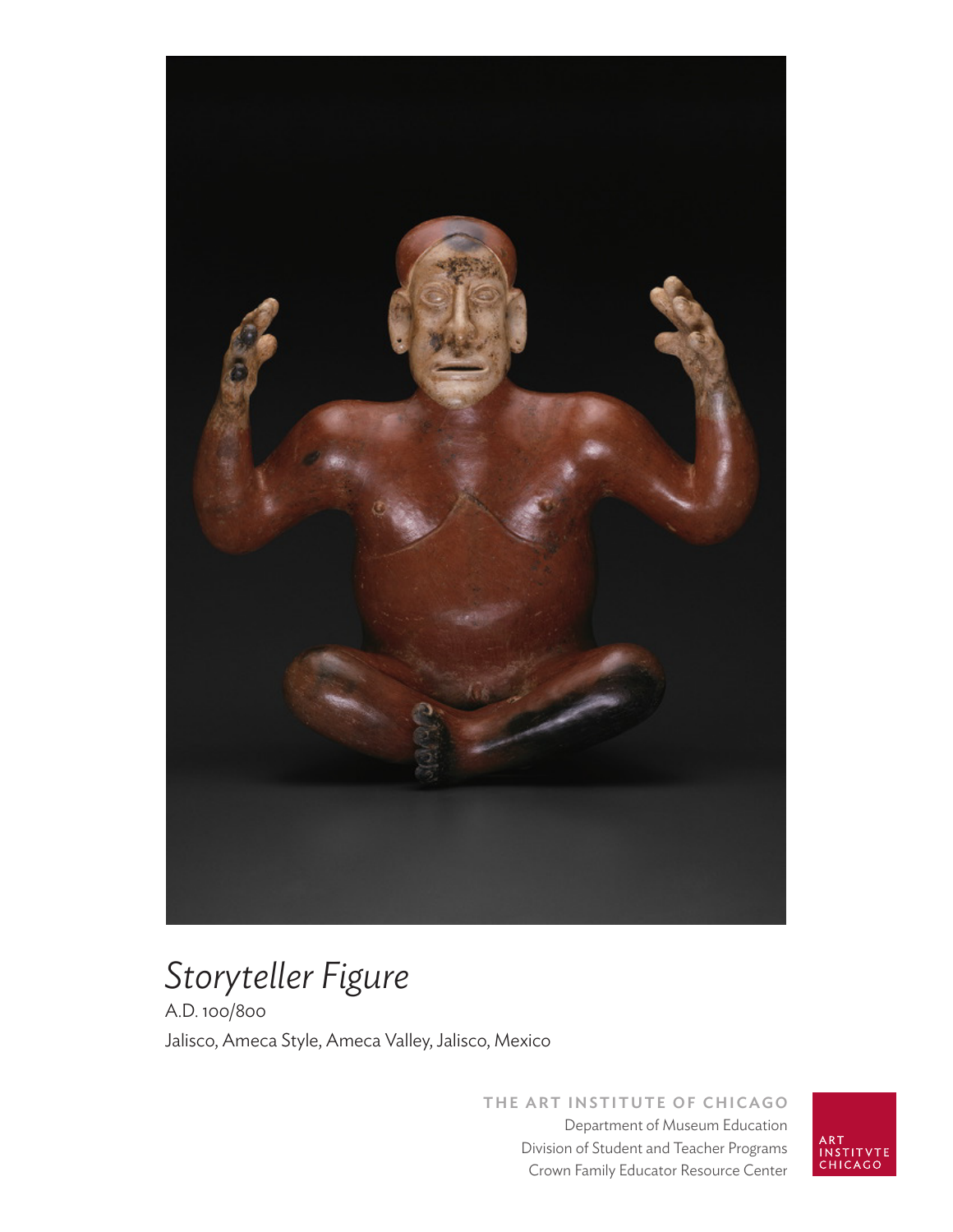

# *Storyteller Figure*

A.D. 100/800 Jalisco, Ameca Style, Ameca Valley, Jalisco, Mexico

> **THE ART INSTITUTE OF CHICAGO** Department of Museum Education Division of Student and Teacher Programs Crown Family Educator Resource Center

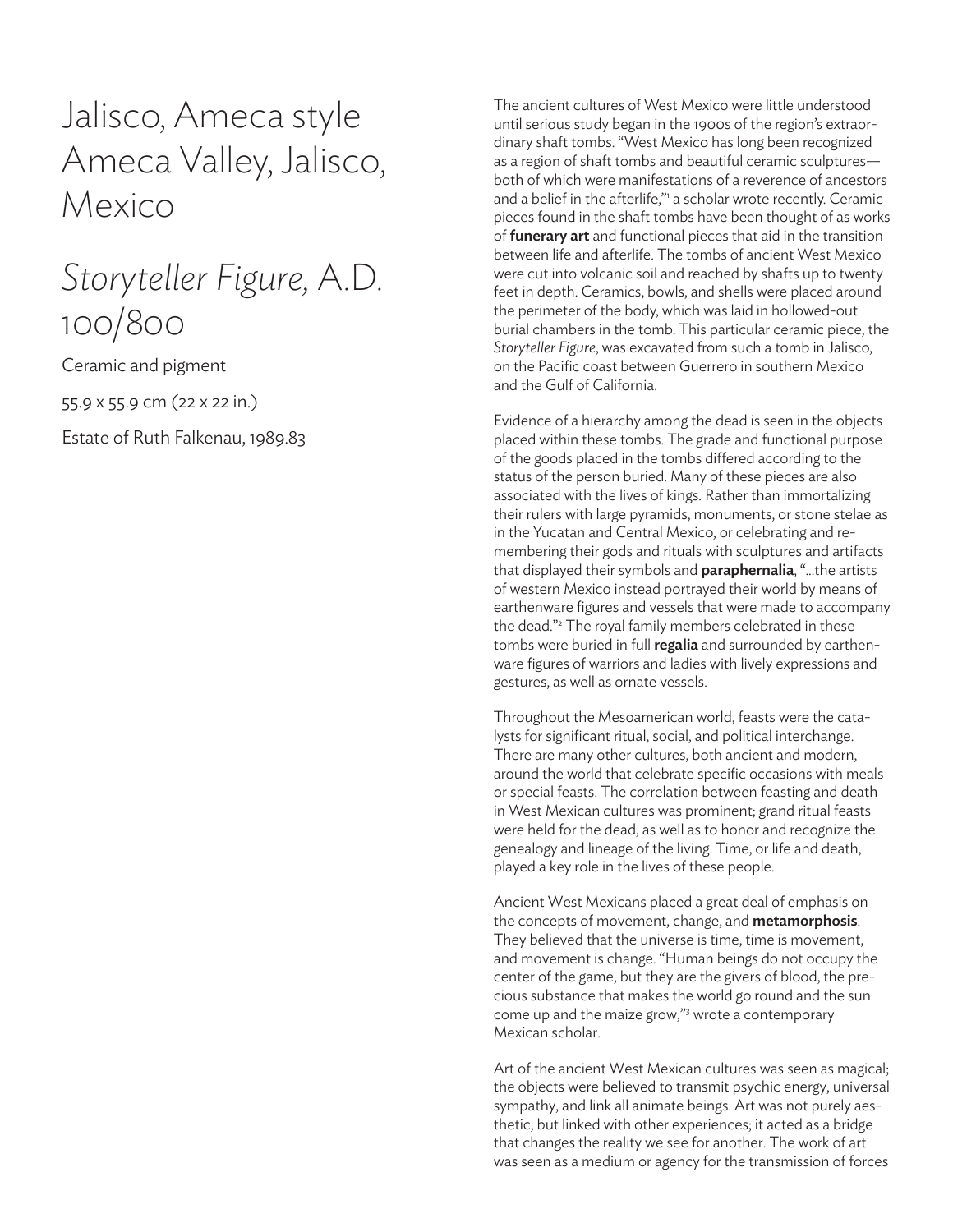Jalisco, Ameca style Ameca Valley, Jalisco, Mexico

# *Storyteller Figure,* A.D. 100/800

Ceramic and pigment

55.9 x 55.9 cm (22 x 22 in.)

Estate of Ruth Falkenau, 1989.83

The ancient cultures of West Mexico were little understood until serious study began in the 1900s of the region's extraordinary shaft tombs. "West Mexico has long been recognized as a region of shaft tombs and beautiful ceramic sculptures both of which were manifestations of a reverence of ancestors and a belief in the afterlife," a scholar wrote recently. Ceramic pieces found in the shaft tombs have been thought of as works of **funerary art** and functional pieces that aid in the transition between life and afterlife. The tombs of ancient West Mexico were cut into volcanic soil and reached by shafts up to twenty feet in depth. Ceramics, bowls, and shells were placed around the perimeter of the body, which was laid in hollowed-out burial chambers in the tomb. This particular ceramic piece, the *Storyteller Figure*, was excavated from such a tomb in Jalisco, on the Pacific coast between Guerrero in southern Mexico and the Gulf of California.

Evidence of a hierarchy among the dead is seen in the objects placed within these tombs. The grade and functional purpose of the goods placed in the tombs differed according to the status of the person buried. Many of these pieces are also associated with the lives of kings. Rather than immortalizing their rulers with large pyramids, monuments, or stone stelae as in the Yucatan and Central Mexico, or celebrating and remembering their gods and rituals with sculptures and artifacts that displayed their symbols and **paraphernalia**, "...the artists of western Mexico instead portrayed their world by means of earthenware figures and vessels that were made to accompany the dead."<sup>2</sup> The royal family members celebrated in these tombs were buried in full **regalia** and surrounded by earthenware figures of warriors and ladies with lively expressions and gestures, as well as ornate vessels.

Throughout the Mesoamerican world, feasts were the catalysts for significant ritual, social, and political interchange. There are many other cultures, both ancient and modern, around the world that celebrate specific occasions with meals or special feasts. The correlation between feasting and death in West Mexican cultures was prominent; grand ritual feasts were held for the dead, as well as to honor and recognize the genealogy and lineage of the living. Time, or life and death, played a key role in the lives of these people.

Ancient West Mexicans placed a great deal of emphasis on the concepts of movement, change, and **metamorphosis**. They believed that the universe is time, time is movement, and movement is change. "Human beings do not occupy the center of the game, but they are the givers of blood, the precious substance that makes the world go round and the sun come up and the maize grow,"<sup>3</sup> wrote a contemporary Mexican scholar.

Art of the ancient West Mexican cultures was seen as magical; the objects were believed to transmit psychic energy, universal sympathy, and link all animate beings. Art was not purely aesthetic, but linked with other experiences; it acted as a bridge that changes the reality we see for another. The work of art was seen as a medium or agency for the transmission of forces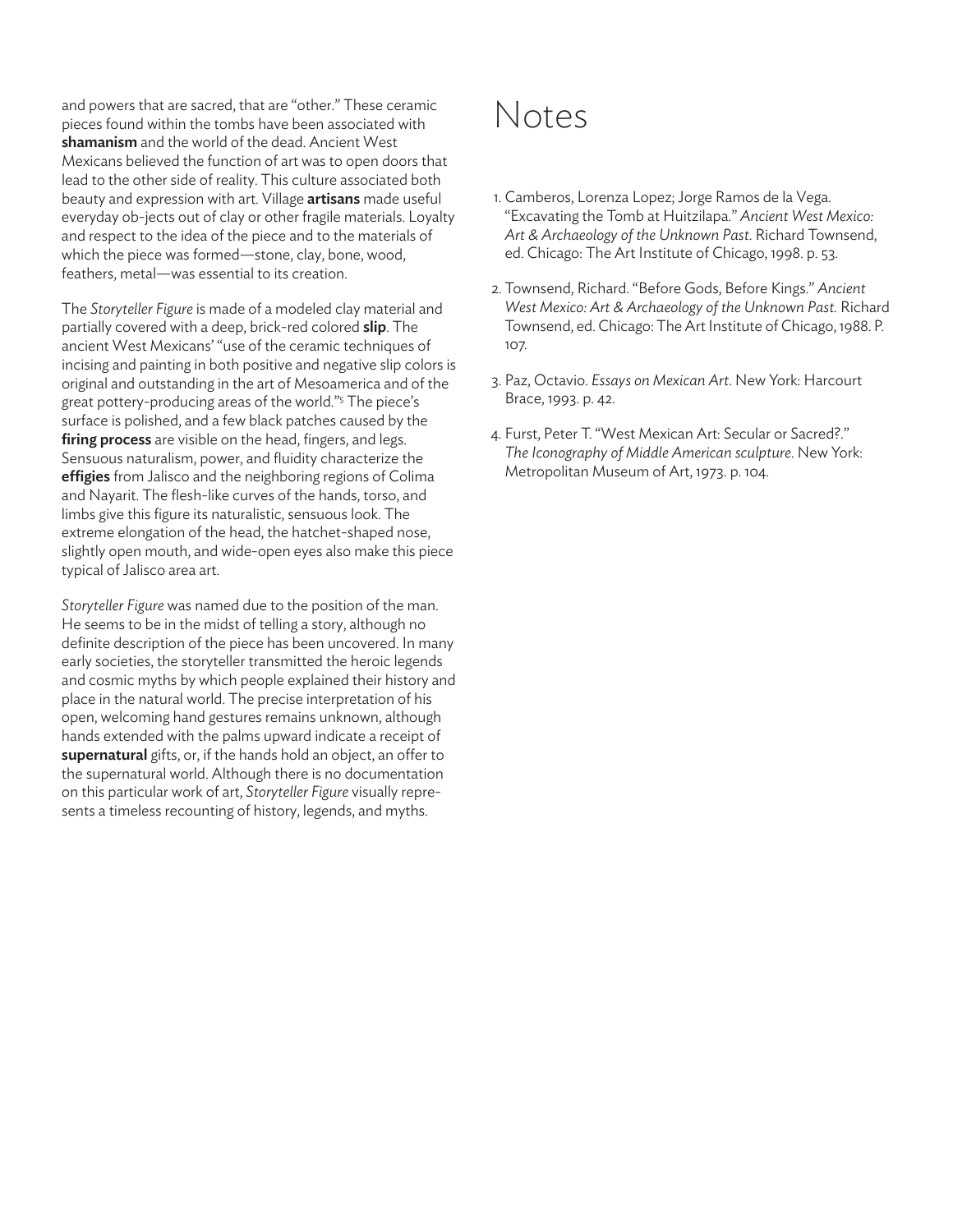and powers that are sacred, that are "other." These ceramic pieces found within the tombs have been associated with **shamanism** and the world of the dead. Ancient West Mexicans believed the function of art was to open doors that lead to the other side of reality. This culture associated both beauty and expression with art. Village **artisans** made useful everyday ob-jects out of clay or other fragile materials. Loyalty and respect to the idea of the piece and to the materials of which the piece was formed—stone, clay, bone, wood, feathers, metal—was essential to its creation.

The *Storyteller Figure* is made of a modeled clay material and partially covered with a deep, brick-red colored **slip**. The ancient West Mexicans' "use of the ceramic techniques of incising and painting in both positive and negative slip colors is original and outstanding in the art of Mesoamerica and of the great pottery-producing areas of the world."<sup>5</sup> The piece's surface is polished, and a few black patches caused by the **firing process** are visible on the head, fingers, and legs. Sensuous naturalism, power, and fluidity characterize the **effigies** from Jalisco and the neighboring regions of Colima and Nayarit. The flesh-like curves of the hands, torso, and limbs give this figure its naturalistic, sensuous look. The extreme elongation of the head, the hatchet-shaped nose, slightly open mouth, and wide-open eyes also make this piece typical of Jalisco area art.

*Storyteller Figure* was named due to the position of the man. He seems to be in the midst of telling a story, although no definite description of the piece has been uncovered. In many early societies, the storyteller transmitted the heroic legends and cosmic myths by which people explained their history and place in the natural world. The precise interpretation of his open, welcoming hand gestures remains unknown, although hands extended with the palms upward indicate a receipt of **supernatural** gifts, or, if the hands hold an object, an offer to the supernatural world. Although there is no documentation on this particular work of art, *Storyteller Figure* visually represents a timeless recounting of history, legends, and myths.

# Notes

- 1. Camberos, Lorenza Lopez; Jorge Ramos de la Vega. "Excavating the Tomb at Huitzilapa." *Ancient West Mexico: Art & Archaeology of the Unknown Past*. Richard Townsend, ed. Chicago: The Art Institute of Chicago, 1998. p. 53.
- 2. Townsend, Richard. "Before Gods, Before Kings." *Ancient West Mexico: Art & Archaeology of the Unknown Past.* Richard Townsend, ed. Chicago: The Art Institute of Chicago, 1988. P. 107.
- 3. Paz, Octavio. *Essays on Mexican Art*. New York: Harcourt Brace, 1993. p. 42.
- 4. Furst, Peter T. "West Mexican Art: Secular or Sacred?." *The Iconography of Middle American sculpture*. New York: Metropolitan Museum of Art, 1973. p. 104.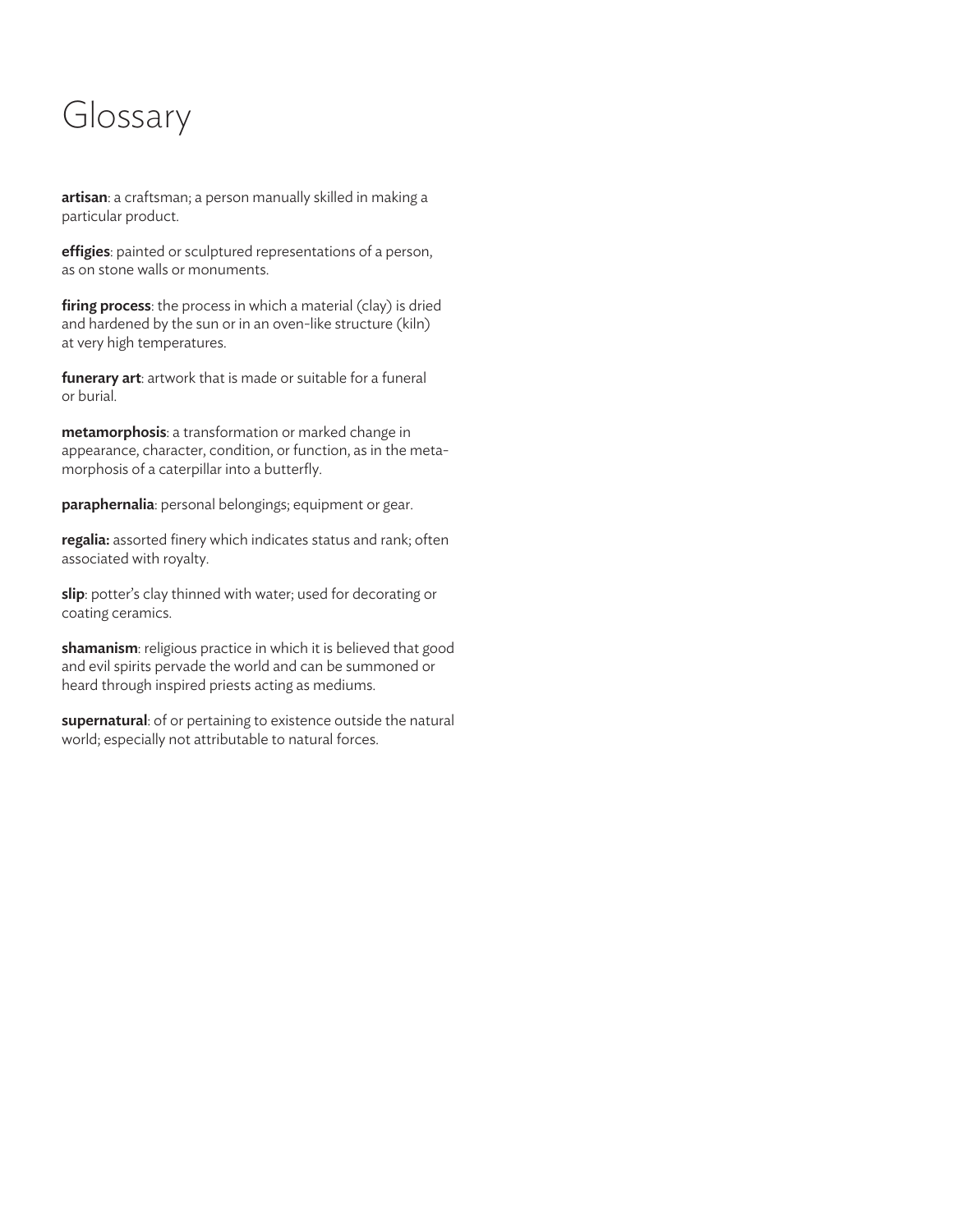# Glossary

**artisan**: a craftsman; a person manually skilled in making a particular product.

**effigies**: painted or sculptured representations of a person, as on stone walls or monuments.

**firing process**: the process in which a material (clay) is dried and hardened by the sun or in an oven-like structure (kiln) at very high temperatures.

**funerary art**: artwork that is made or suitable for a funeral or burial.

**metamorphosis**: a transformation or marked change in appearance, character, condition, or function, as in the metamorphosis of a caterpillar into a butterfly.

**paraphernalia**: personal belongings; equipment or gear.

**regalia:** assorted finery which indicates status and rank; often associated with royalty.

**slip**: potter's clay thinned with water; used for decorating or coating ceramics.

**shamanism**: religious practice in which it is believed that good and evil spirits pervade the world and can be summoned or heard through inspired priests acting as mediums.

**supernatural**: of or pertaining to existence outside the natural world; especially not attributable to natural forces.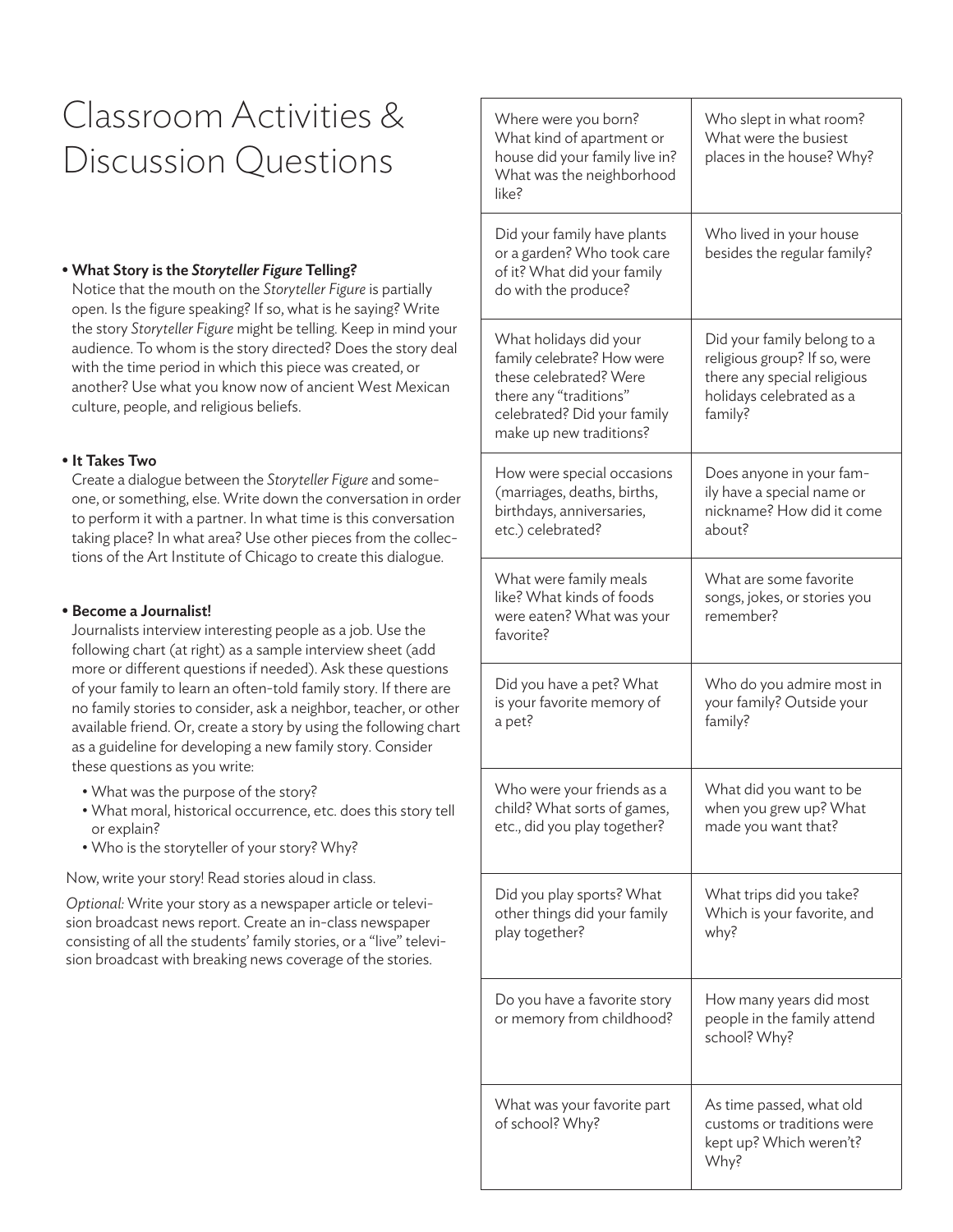# Classroom Activities & Discussion Questions

### **• What Story is the** *Storyteller Figure* **Telling?**

Notice that the mouth on the *Storyteller Figure* is partially open. Is the figure speaking? If so, what is he saying? Write the story *Storyteller Figure* might be telling. Keep in mind your audience. To whom is the story directed? Does the story deal with the time period in which this piece was created, or another? Use what you know now of ancient West Mexican culture, people, and religious beliefs.

#### **• It Takes Two**

Create a dialogue between the *Storyteller Figure* and someone, or something, else. Write down the conversation in order to perform it with a partner. In what time is this conversation taking place? In what area? Use other pieces from the collections of the Art Institute of Chicago to create this dialogue.

#### **• Become a Journalist!**

Journalists interview interesting people as a job. Use the following chart (at right) as a sample interview sheet (add more or different questions if needed). Ask these questions of your family to learn an often-told family story. If there are no family stories to consider, ask a neighbor, teacher, or other available friend. Or, create a story by using the following chart as a guideline for developing a new family story. Consider these questions as you write:

- What was the purpose of the story?
- What moral, historical occurrence, etc. does this story tell or explain?
- Who is the storyteller of your story? Why?

Now, write your story! Read stories aloud in class.

*Optional:* Write your story as a newspaper article or television broadcast news report. Create an in-class newspaper consisting of all the students' family stories, or a "live" television broadcast with breaking news coverage of the stories.

| Where were you born?<br>What kind of apartment or<br>house did your family live in?<br>What was the neighborhood<br>like?                                          | Who slept in what room?<br>What were the busiest<br>places in the house? Why?                                                     |
|--------------------------------------------------------------------------------------------------------------------------------------------------------------------|-----------------------------------------------------------------------------------------------------------------------------------|
| Did your family have plants<br>or a garden? Who took care<br>of it? What did your family<br>do with the produce?                                                   | Who lived in your house<br>besides the regular family?                                                                            |
| What holidays did your<br>family celebrate? How were<br>these celebrated? Were<br>there any "traditions"<br>celebrated? Did your family<br>make up new traditions? | Did your family belong to a<br>religious group? If so, were<br>there any special religious<br>holidays celebrated as a<br>family? |
| How were special occasions<br>(marriages, deaths, births,<br>birthdays, anniversaries,<br>etc.) celebrated?                                                        | Does anyone in your fam-<br>ily have a special name or<br>nickname? How did it come<br>about?                                     |
| What were family meals<br>like? What kinds of foods<br>were eaten? What was your<br>favorite?                                                                      | What are some favorite<br>songs, jokes, or stories you<br>remember?                                                               |
| Did you have a pet? What<br>is your favorite memory of<br>a pet?                                                                                                   | Who do you admire most in<br>your family? Outside your<br>family?                                                                 |
| Who were your friends as a<br>child? What sorts of games,<br>etc., did you play together?                                                                          | What did you want to be<br>when you grew up? What<br>made you want that?                                                          |
| Did you play sports? What<br>other things did your family<br>play together?                                                                                        | What trips did you take?<br>Which is your favorite, and<br>why?                                                                   |
| Do you have a favorite story<br>or memory from childhood?                                                                                                          | How many years did most<br>people in the family attend<br>school? Why?                                                            |
| What was your favorite part<br>of school? Why?                                                                                                                     | As time passed, what old<br>customs or traditions were<br>kept up? Which weren't?<br>Why?                                         |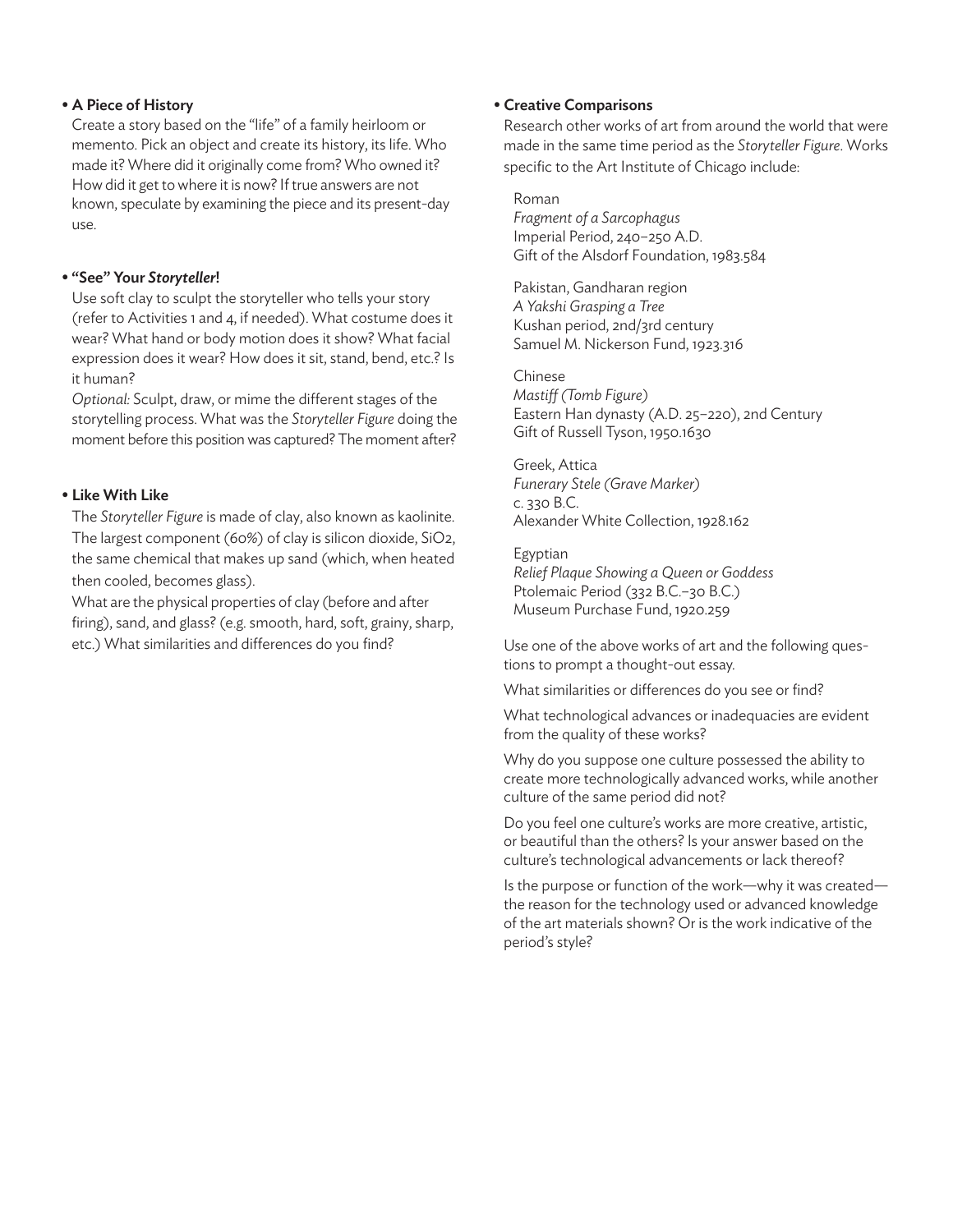#### **• A Piece of History**

Create a story based on the "life" of a family heirloom or memento. Pick an object and create its history, its life. Who made it? Where did it originally come from? Who owned it? How did it get to where it is now? If true answers are not known, speculate by examining the piece and its present-day use.

### **• "See" Your** *Storyteller***!**

Use soft clay to sculpt the storyteller who tells your story (refer to Activities 1 and 4, if needed). What costume does it wear? What hand or body motion does it show? What facial expression does it wear? How does it sit, stand, bend, etc.? Is it human?

*Optional:* Sculpt, draw, or mime the different stages of the storytelling process. What was the *Storyteller Figure* doing the moment before this position was captured? The moment after?

### **• Like With Like**

The *Storyteller Figure* is made of clay, also known as kaolinite. The largest component (60%) of clay is silicon dioxide, SiO2, the same chemical that makes up sand (which, when heated then cooled, becomes glass).

What are the physical properties of clay (before and after firing), sand, and glass? (e.g. smooth, hard, soft, grainy, sharp, etc.) What similarities and differences do you find?

# **• Creative Comparisons**

Research other works of art from around the world that were made in the same time period as the *Storyteller Figure*. Works specific to the Art Institute of Chicago include:

#### • Roman

• *Fragment of a Sarcophagus* • Imperial Period, 240–250 A.D. • Gift of the Alsdorf Foundation, 1983.584

• Pakistan, Gandharan region • *A Yakshi Grasping a Tree* • Kushan period, 2nd/3rd century Samuel M. Nickerson Fund, 1923.316

• Chinese • *Mastiff (Tomb Figure)* • Eastern Han dynasty (A.D. 25–220), 2nd Century • Gift of Russell Tyson, 1950.1630

• Greek, Attica • *Funerary Stele (Grave Marker)* • c. 330 B.C. • Alexander White Collection, 1928.162

**Egyptian** • *Relief Plaque Showing a Queen or Goddess* Ptolemaic Period (332 B.C.-30 B.C.) • Museum Purchase Fund, 1920.259

Use one of the above works of art and the following questions to prompt a thought-out essay.

What similarities or differences do you see or find?

What technological advances or inadequacies are evident from the quality of these works?

Why do you suppose one culture possessed the ability to create more technologically advanced works, while another culture of the same period did not?

Do you feel one culture's works are more creative, artistic, or beautiful than the others? Is your answer based on the culture's technological advancements or lack thereof?

Is the purpose or function of the work—why it was created the reason for the technology used or advanced knowledge of the art materials shown? Or is the work indicative of the period's style?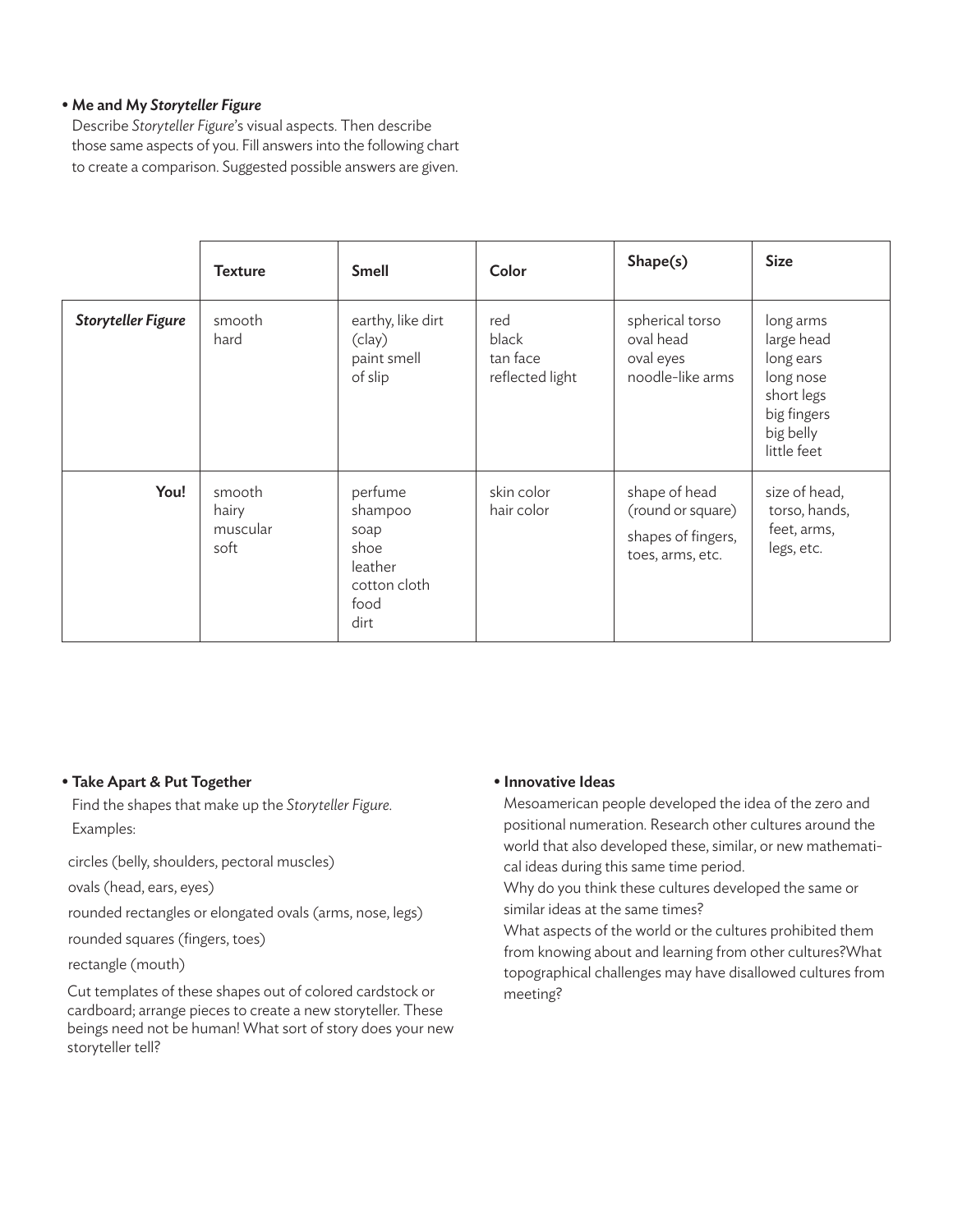# **• Me and My** *Storyteller Figure*

Describe *Storyteller Figure*'s visual aspects. Then describe those same aspects of you. Fill answers into the following chart to create a comparison. Suggested possible answers are given.

|                           | <b>Texture</b>                      | <b>Smell</b>                                                                  | Color                                       | Shape(s)                                                                     | <b>Size</b>                                                                                                |
|---------------------------|-------------------------------------|-------------------------------------------------------------------------------|---------------------------------------------|------------------------------------------------------------------------------|------------------------------------------------------------------------------------------------------------|
| <b>Storyteller Figure</b> | smooth<br>hard                      | earthy, like dirt<br>(clay)<br>paint smell<br>of slip                         | red<br>black<br>tan face<br>reflected light | spherical torso<br>oval head<br>oval eyes<br>noodle-like arms                | long arms<br>large head<br>long ears<br>long nose<br>short legs<br>big fingers<br>big belly<br>little feet |
| You!                      | smooth<br>hairy<br>muscular<br>soft | perfume<br>shampoo<br>soap<br>shoe<br>leather<br>cotton cloth<br>food<br>dirt | skin color<br>hair color                    | shape of head<br>(round or square)<br>shapes of fingers,<br>toes, arms, etc. | size of head,<br>torso, hands,<br>feet, arms,<br>legs, etc.                                                |

# **• Take Apart & Put Together**

Find the shapes that make up the *Storyteller Figure*. Examples:

circles (belly, shoulders, pectoral muscles)

ovals (head, ears, eyes)

rounded rectangles or elongated ovals (arms, nose, legs)

rounded squares (fingers, toes)

rectangle (mouth)

Cut templates of these shapes out of colored cardstock or cardboard; arrange pieces to create a new storyteller. These beings need not be human! What sort of story does your new storyteller tell?

# **• Innovative Ideas**

Mesoamerican people developed the idea of the zero and positional numeration. Research other cultures around the world that also developed these, similar, or new mathematical ideas during this same time period.

Why do you think these cultures developed the same or similar ideas at the same times?

What aspects of the world or the cultures prohibited them from knowing about and learning from other cultures?What topographical challenges may have disallowed cultures from meeting?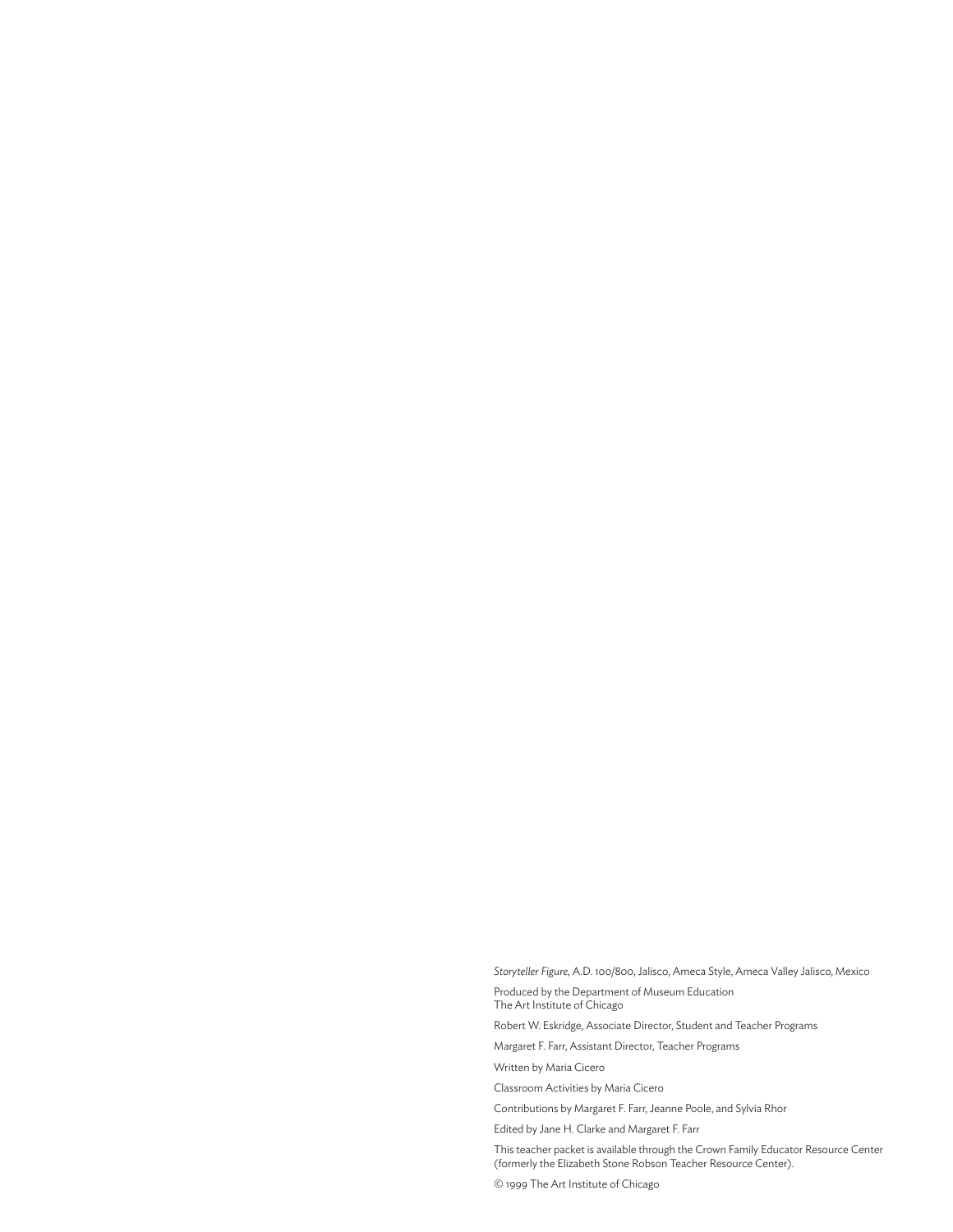*Storyteller Figure,* A.D. 100/800, Jalisco, Ameca Style, Ameca Valley Jalisco, Mexico Produced by the Department of Museum Education The Art Institute of Chicago

Robert W. Eskridge, Associate Director, Student and Teacher Programs

Margaret F. Farr, Assistant Director, Teacher Programs

Written by Maria Cicero

Classroom Activities by Maria Cicero

Contributions by Margaret F. Farr, Jeanne Poole, and Sylvia Rhor

Edited by Jane H. Clarke and Margaret F. Farr

This teacher packet is available through the Crown Family Educator Resource Center (formerly the Elizabeth Stone Robson Teacher Resource Center).

© 1999 The Art Institute of Chicago